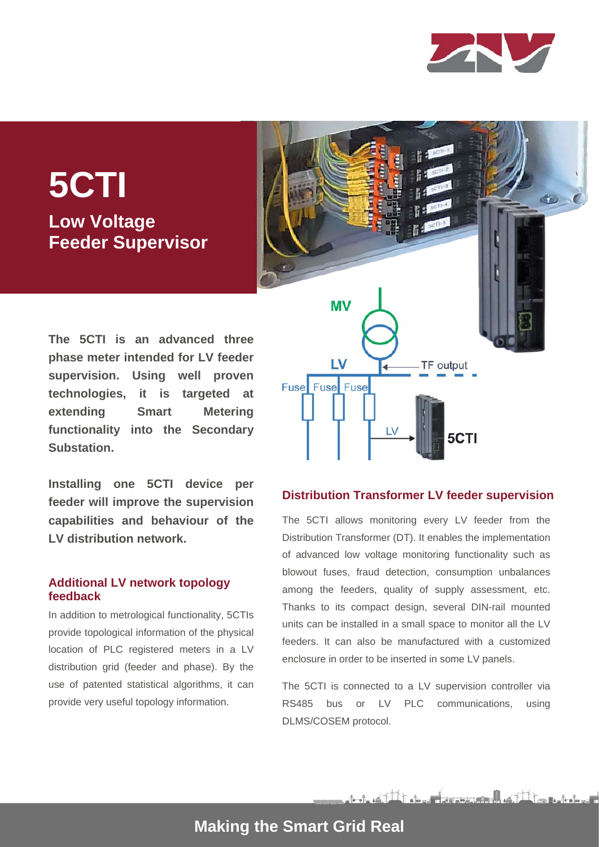

dio-

# **5CTI Low Voltage Feeder Supervisor**

**The 5CTI is an advanced three phase meter intended for LV feeder supervision. Using well proven technologies, it is targeted at extending Smart Metering functionality into the Secondary Substation.**

**Installing one 5CTI device per feeder will improve the supervision capabilities and behaviour of the LV distribution network.**

### **Additional LV network topology feedback**

In addition to metrological functionality, 5CTIs provide topological information of the physical location of PLC registered meters in a LV distribution grid (feeder and phase). By the use of patented statistical algorithms, it can provide very useful topology information.

**MV** LV TF output Fuse Fuse Fuse 5CTI

#### **Distribution Transformer LV feeder supervision**

The 5CTI allows monitoring every LV feeder from the Distribution Transformer (DT). It enables the implementation of advanced low voltage monitoring functionality such as blowout fuses, fraud detection, consumption unbalances among the feeders, quality of supply assessment, etc. Thanks to its compact design, several DIN-rail mounted units can be installed in a small space to monitor all the LV feeders. It can also be manufactured with a customized enclosure in order to be inserted in some LV panels.

The 5CTI is connected to a LV supervision controller via RS485 bus or LV PLC communications, using DLMS/COSEM protocol.

A-A-145 The street second with the surface